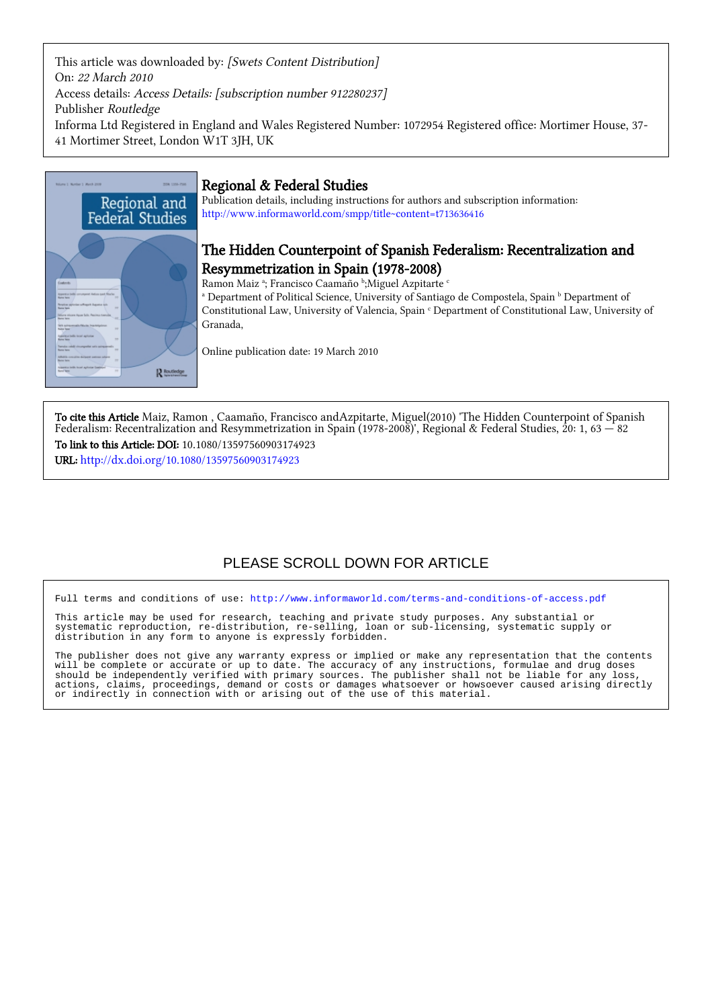This article was downloaded by: [Swets Content Distribution] On: 22 March 2010 Access details: Access Details: [subscription number 912280237] Publisher Routledge Informa Ltd Registered in England and Wales Registered Number: 1072954 Registered office: Mortimer House, 37- 41 Mortimer Street, London W1T 3JH, UK



# Regional & Federal Studies

Publication details, including instructions for authors and subscription information: <http://www.informaworld.com/smpp/title~content=t713636416>

# The Hidden Counterpoint of Spanish Federalism: Recentralization and Resymmetrization in Spain (1978-2008)

Ramon Maiz ª; Francisco Caamaño ʰ;Miguel Azpitarte <sup>c</sup>

<sup>a</sup> Department of Political Science, University of Santiago de Compostela, Spain <sup>b</sup> Department of Constitutional Law, University of Valencia, Spain <sup>c</sup> Department of Constitutional Law, University of Granada,

Online publication date: 19 March 2010

To cite this Article Maiz, Ramon , Caamaño, Francisco andAzpitarte, Miguel(2010) 'The Hidden Counterpoint of Spanish Federalism: Recentralization and Resymmetrization in Spain (1978-2008)', Regional & Federal Studies, 20: 1, 63 – 82 To link to this Article: DOI: 10.1080/13597560903174923

URL: <http://dx.doi.org/10.1080/13597560903174923>

# PLEASE SCROLL DOWN FOR ARTICLE

Full terms and conditions of use:<http://www.informaworld.com/terms-and-conditions-of-access.pdf>

This article may be used for research, teaching and private study purposes. Any substantial or systematic reproduction, re-distribution, re-selling, loan or sub-licensing, systematic supply or distribution in any form to anyone is expressly forbidden.

The publisher does not give any warranty express or implied or make any representation that the contents will be complete or accurate or up to date. The accuracy of any instructions, formulae and drug doses should be independently verified with primary sources. The publisher shall not be liable for any loss, actions, claims, proceedings, demand or costs or damages whatsoever or howsoever caused arising directly or indirectly in connection with or arising out of the use of this material.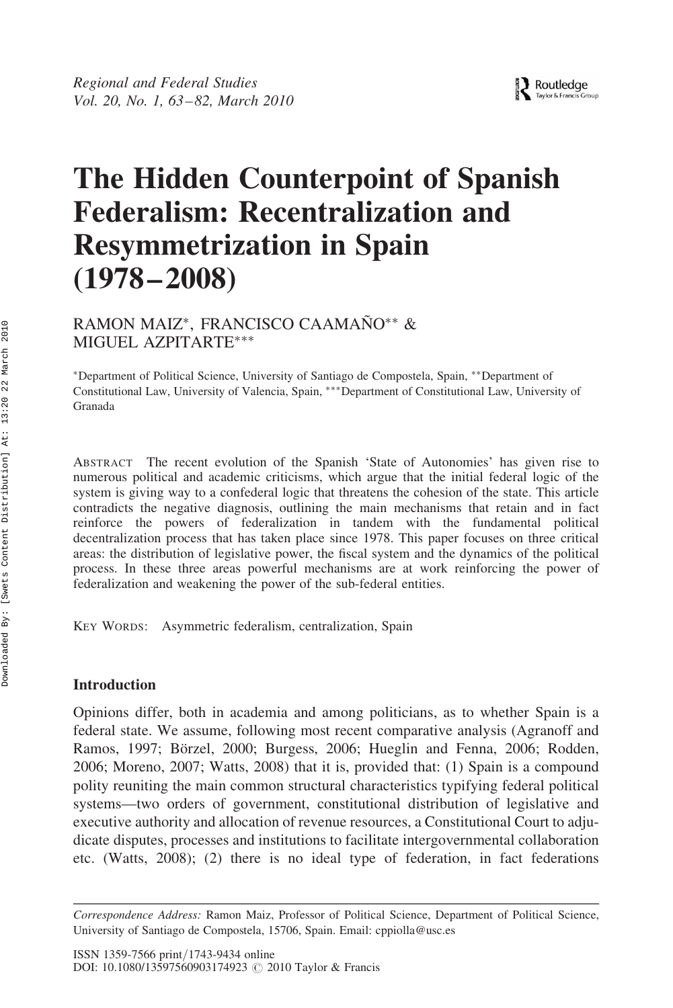# The Hidden Counterpoint of Spanish Federalism: Recentralization and Resymmetrization in Spain (1978– 2008)

RAMON MAIZ\*, FRANCISCO CAAMAÑO\*\* & MIGUEL AZPITARTE\*\*\*

\*Department of Political Science, University of Santiago de Compostela, Spain, \*\*Department of Constitutional Law, University of Valencia, Spain, \*\*\* Department of Constitutional Law, University of Granada

ABSTRACT The recent evolution of the Spanish 'State of Autonomies' has given rise to numerous political and academic criticisms, which argue that the initial federal logic of the system is giving way to a confederal logic that threatens the cohesion of the state. This article contradicts the negative diagnosis, outlining the main mechanisms that retain and in fact reinforce the powers of federalization in tandem with the fundamental political decentralization process that has taken place since 1978. This paper focuses on three critical areas: the distribution of legislative power, the fiscal system and the dynamics of the political process. In these three areas powerful mechanisms are at work reinforcing the power of federalization and weakening the power of the sub-federal entities.

KEY WORDS: Asymmetric federalism, centralization, Spain

# Introduction

Opinions differ, both in academia and among politicians, as to whether Spain is a federal state. We assume, following most recent comparative analysis (Agranoff and Ramos, 1997; Börzel, 2000; Burgess, 2006; Hueglin and Fenna, 2006; Rodden, 2006; Moreno, 2007; Watts, 2008) that it is, provided that: (1) Spain is a compound polity reuniting the main common structural characteristics typifying federal political systems—two orders of government, constitutional distribution of legislative and executive authority and allocation of revenue resources, a Constitutional Court to adjudicate disputes, processes and institutions to facilitate intergovernmental collaboration etc. (Watts, 2008); (2) there is no ideal type of federation, in fact federations

Correspondence Address: Ramon Maiz, Professor of Political Science, Department of Political Science, University of Santiago de Compostela, 15706, Spain. Email: cppiolla@usc.es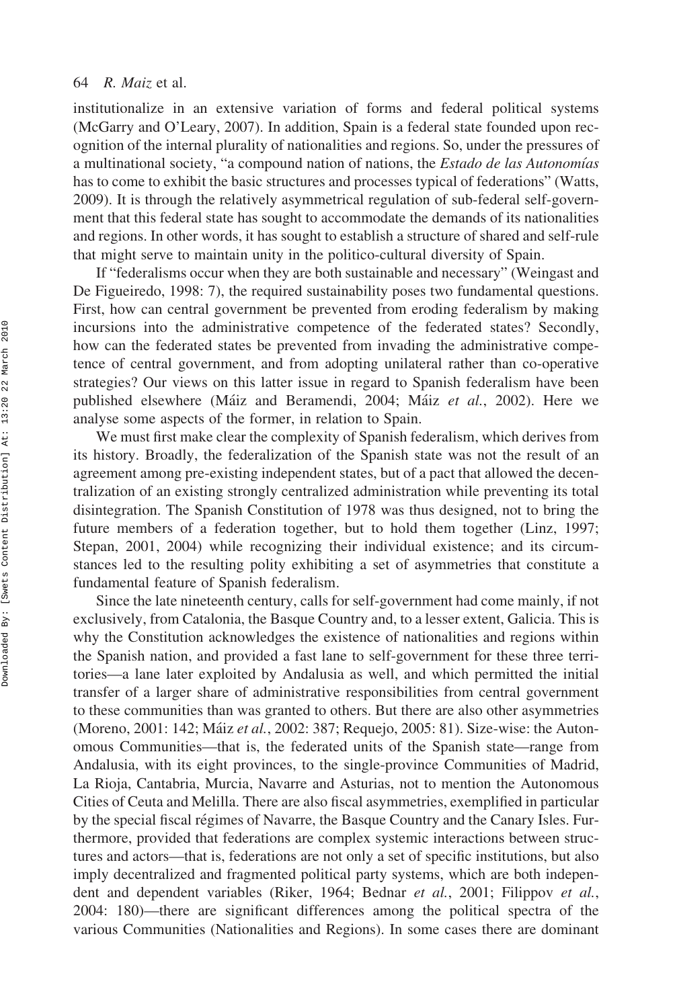institutionalize in an extensive variation of forms and federal political systems (McGarry and O'Leary, 2007). In addition, Spain is a federal state founded upon recognition of the internal plurality of nationalities and regions. So, under the pressures of a multinational society, "a compound nation of nations, the *Estado de las Autonomías* has to come to exhibit the basic structures and processes typical of federations" (Watts, 2009). It is through the relatively asymmetrical regulation of sub-federal self-government that this federal state has sought to accommodate the demands of its nationalities and regions. In other words, it has sought to establish a structure of shared and self-rule that might serve to maintain unity in the politico-cultural diversity of Spain.

If "federalisms occur when they are both sustainable and necessary" (Weingast and De Figueiredo, 1998: 7), the required sustainability poses two fundamental questions. First, how can central government be prevented from eroding federalism by making incursions into the administrative competence of the federated states? Secondly, how can the federated states be prevented from invading the administrative competence of central government, and from adopting unilateral rather than co-operative strategies? Our views on this latter issue in regard to Spanish federalism have been published elsewhere (Ma´iz and Beramendi, 2004; Ma´iz et al., 2002). Here we analyse some aspects of the former, in relation to Spain.

We must first make clear the complexity of Spanish federalism, which derives from its history. Broadly, the federalization of the Spanish state was not the result of an agreement among pre-existing independent states, but of a pact that allowed the decentralization of an existing strongly centralized administration while preventing its total disintegration. The Spanish Constitution of 1978 was thus designed, not to bring the future members of a federation together, but to hold them together (Linz, 1997; Stepan, 2001, 2004) while recognizing their individual existence; and its circumstances led to the resulting polity exhibiting a set of asymmetries that constitute a fundamental feature of Spanish federalism.

Since the late nineteenth century, calls for self-government had come mainly, if not exclusively, from Catalonia, the Basque Country and, to a lesser extent, Galicia. This is why the Constitution acknowledges the existence of nationalities and regions within the Spanish nation, and provided a fast lane to self-government for these three territories—a lane later exploited by Andalusia as well, and which permitted the initial transfer of a larger share of administrative responsibilities from central government to these communities than was granted to others. But there are also other asymmetries (Moreno, 2001: 142; Máiz et al., 2002: 387; Requejo, 2005: 81). Size-wise: the Autonomous Communities—that is, the federated units of the Spanish state—range from Andalusia, with its eight provinces, to the single-province Communities of Madrid, La Rioja, Cantabria, Murcia, Navarre and Asturias, not to mention the Autonomous Cities of Ceuta and Melilla. There are also fiscal asymmetries, exemplified in particular by the special fiscal régimes of Navarre, the Basque Country and the Canary Isles. Furthermore, provided that federations are complex systemic interactions between structures and actors—that is, federations are not only a set of specific institutions, but also imply decentralized and fragmented political party systems, which are both independent and dependent variables (Riker, 1964; Bednar et al., 2001; Filippov et al., 2004: 180)—there are significant differences among the political spectra of the various Communities (Nationalities and Regions). In some cases there are dominant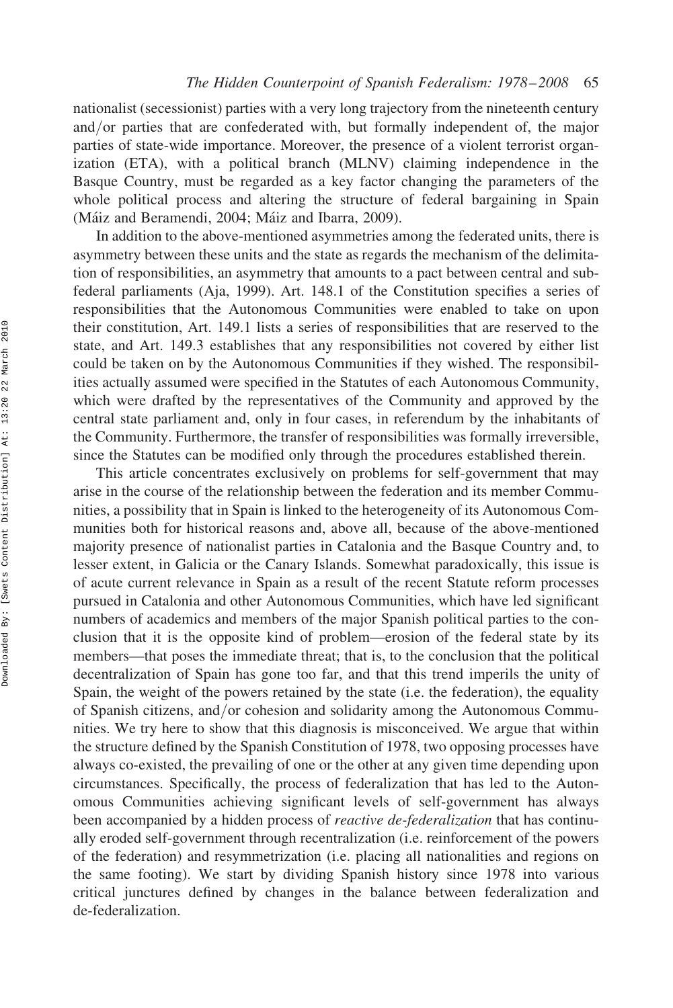nationalist (secessionist) parties with a very long trajectory from the nineteenth century and/or parties that are confederated with, but formally independent of, the major parties of state-wide importance. Moreover, the presence of a violent terrorist organization (ETA), with a political branch (MLNV) claiming independence in the Basque Country, must be regarded as a key factor changing the parameters of the whole political process and altering the structure of federal bargaining in Spain (Máiz and Beramendi, 2004; Máiz and Ibarra, 2009).

In addition to the above-mentioned asymmetries among the federated units, there is asymmetry between these units and the state as regards the mechanism of the delimitation of responsibilities, an asymmetry that amounts to a pact between central and subfederal parliaments (Aja, 1999). Art. 148.1 of the Constitution specifies a series of responsibilities that the Autonomous Communities were enabled to take on upon their constitution, Art. 149.1 lists a series of responsibilities that are reserved to the state, and Art. 149.3 establishes that any responsibilities not covered by either list could be taken on by the Autonomous Communities if they wished. The responsibilities actually assumed were specified in the Statutes of each Autonomous Community, which were drafted by the representatives of the Community and approved by the central state parliament and, only in four cases, in referendum by the inhabitants of the Community. Furthermore, the transfer of responsibilities was formally irreversible, since the Statutes can be modified only through the procedures established therein.

This article concentrates exclusively on problems for self-government that may arise in the course of the relationship between the federation and its member Communities, a possibility that in Spain is linked to the heterogeneity of its Autonomous Communities both for historical reasons and, above all, because of the above-mentioned majority presence of nationalist parties in Catalonia and the Basque Country and, to lesser extent, in Galicia or the Canary Islands. Somewhat paradoxically, this issue is of acute current relevance in Spain as a result of the recent Statute reform processes pursued in Catalonia and other Autonomous Communities, which have led significant numbers of academics and members of the major Spanish political parties to the conclusion that it is the opposite kind of problem—erosion of the federal state by its members—that poses the immediate threat; that is, to the conclusion that the political decentralization of Spain has gone too far, and that this trend imperils the unity of Spain, the weight of the powers retained by the state (i.e. the federation), the equality of Spanish citizens, and/or cohesion and solidarity among the Autonomous Communities. We try here to show that this diagnosis is misconceived. We argue that within the structure defined by the Spanish Constitution of 1978, two opposing processes have always co-existed, the prevailing of one or the other at any given time depending upon circumstances. Specifically, the process of federalization that has led to the Autonomous Communities achieving significant levels of self-government has always been accompanied by a hidden process of *reactive de-federalization* that has continually eroded self-government through recentralization (i.e. reinforcement of the powers of the federation) and resymmetrization (i.e. placing all nationalities and regions on the same footing). We start by dividing Spanish history since 1978 into various critical junctures defined by changes in the balance between federalization and de-federalization.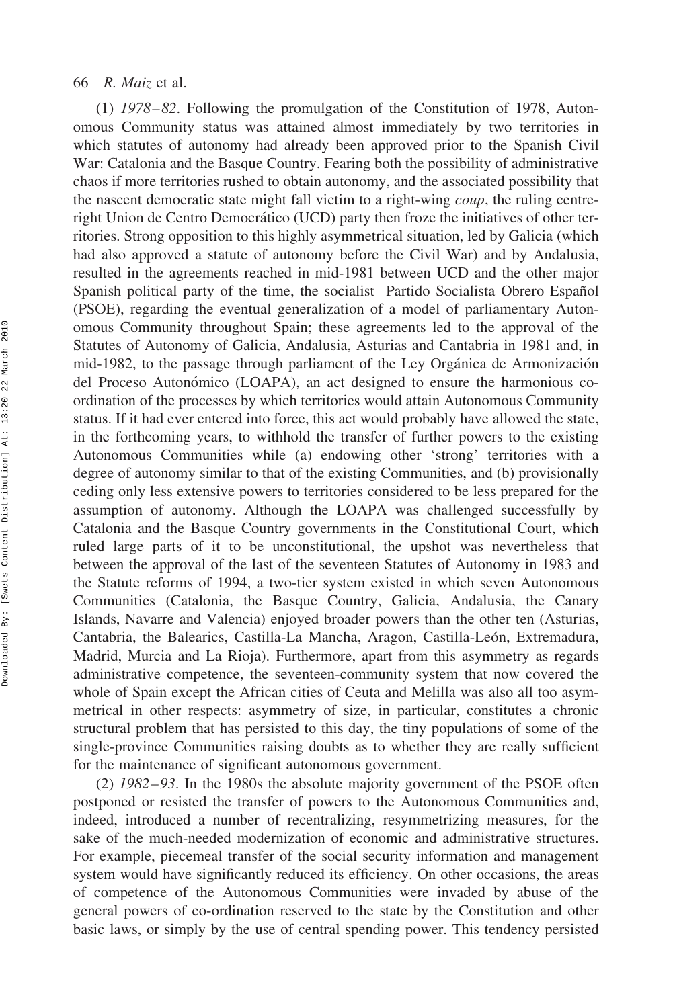(1) 1978–82. Following the promulgation of the Constitution of 1978, Autonomous Community status was attained almost immediately by two territories in which statutes of autonomy had already been approved prior to the Spanish Civil War: Catalonia and the Basque Country. Fearing both the possibility of administrative chaos if more territories rushed to obtain autonomy, and the associated possibility that the nascent democratic state might fall victim to a right-wing *coup*, the ruling centreright Union de Centro Democrático (UCD) party then froze the initiatives of other territories. Strong opposition to this highly asymmetrical situation, led by Galicia (which had also approved a statute of autonomy before the Civil War) and by Andalusia, resulted in the agreements reached in mid-1981 between UCD and the other major Spanish political party of the time, the socialist Partido Socialista Obrero Español (PSOE), regarding the eventual generalization of a model of parliamentary Autonomous Community throughout Spain; these agreements led to the approval of the Statutes of Autonomy of Galicia, Andalusia, Asturias and Cantabria in 1981 and, in mid-1982, to the passage through parliament of the Ley Orgánica de Armonización del Proceso Autonómico (LOAPA), an act designed to ensure the harmonious coordination of the processes by which territories would attain Autonomous Community status. If it had ever entered into force, this act would probably have allowed the state, in the forthcoming years, to withhold the transfer of further powers to the existing Autonomous Communities while (a) endowing other 'strong' territories with a degree of autonomy similar to that of the existing Communities, and (b) provisionally ceding only less extensive powers to territories considered to be less prepared for the assumption of autonomy. Although the LOAPA was challenged successfully by Catalonia and the Basque Country governments in the Constitutional Court, which ruled large parts of it to be unconstitutional, the upshot was nevertheless that between the approval of the last of the seventeen Statutes of Autonomy in 1983 and the Statute reforms of 1994, a two-tier system existed in which seven Autonomous Communities (Catalonia, the Basque Country, Galicia, Andalusia, the Canary Islands, Navarre and Valencia) enjoyed broader powers than the other ten (Asturias, Cantabria, the Balearics, Castilla-La Mancha, Aragon, Castilla-León, Extremadura, Madrid, Murcia and La Rioja). Furthermore, apart from this asymmetry as regards administrative competence, the seventeen-community system that now covered the whole of Spain except the African cities of Ceuta and Melilla was also all too asymmetrical in other respects: asymmetry of size, in particular, constitutes a chronic structural problem that has persisted to this day, the tiny populations of some of the single-province Communities raising doubts as to whether they are really sufficient for the maintenance of significant autonomous government.

(2) 1982–93. In the 1980s the absolute majority government of the PSOE often postponed or resisted the transfer of powers to the Autonomous Communities and, indeed, introduced a number of recentralizing, resymmetrizing measures, for the sake of the much-needed modernization of economic and administrative structures. For example, piecemeal transfer of the social security information and management system would have significantly reduced its efficiency. On other occasions, the areas of competence of the Autonomous Communities were invaded by abuse of the general powers of co-ordination reserved to the state by the Constitution and other basic laws, or simply by the use of central spending power. This tendency persisted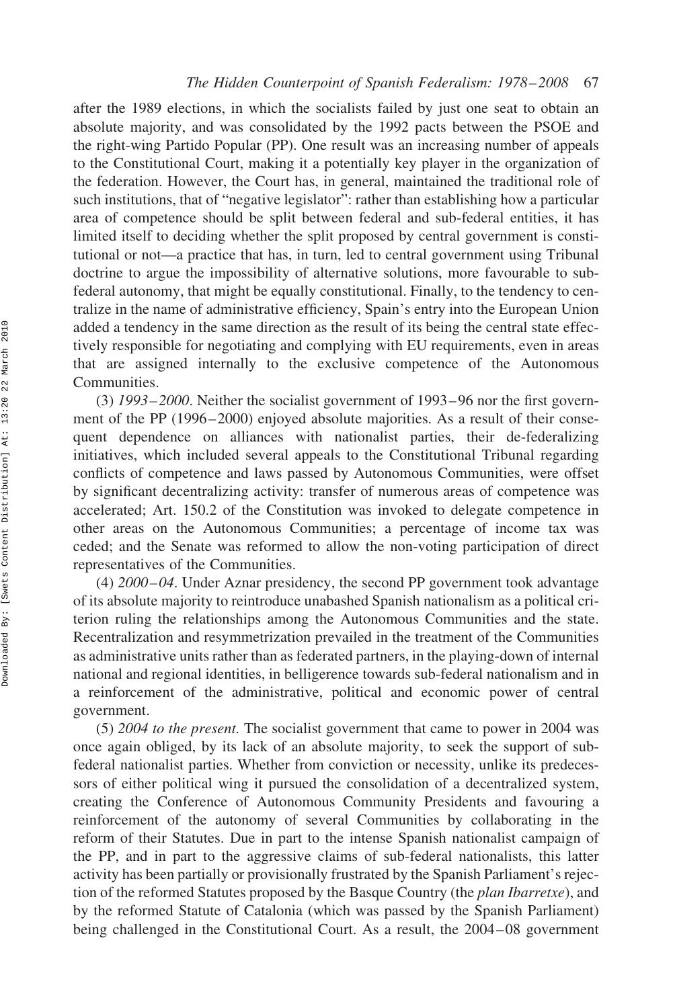after the 1989 elections, in which the socialists failed by just one seat to obtain an absolute majority, and was consolidated by the 1992 pacts between the PSOE and the right-wing Partido Popular (PP). One result was an increasing number of appeals to the Constitutional Court, making it a potentially key player in the organization of the federation. However, the Court has, in general, maintained the traditional role of such institutions, that of "negative legislator": rather than establishing how a particular area of competence should be split between federal and sub-federal entities, it has limited itself to deciding whether the split proposed by central government is constitutional or not—a practice that has, in turn, led to central government using Tribunal doctrine to argue the impossibility of alternative solutions, more favourable to subfederal autonomy, that might be equally constitutional. Finally, to the tendency to centralize in the name of administrative efficiency, Spain's entry into the European Union added a tendency in the same direction as the result of its being the central state effectively responsible for negotiating and complying with EU requirements, even in areas that are assigned internally to the exclusive competence of the Autonomous Communities.

(3) 1993–2000. Neither the socialist government of 1993–96 nor the first government of the PP (1996–2000) enjoyed absolute majorities. As a result of their consequent dependence on alliances with nationalist parties, their de-federalizing initiatives, which included several appeals to the Constitutional Tribunal regarding conflicts of competence and laws passed by Autonomous Communities, were offset by significant decentralizing activity: transfer of numerous areas of competence was accelerated; Art. 150.2 of the Constitution was invoked to delegate competence in other areas on the Autonomous Communities; a percentage of income tax was ceded; and the Senate was reformed to allow the non-voting participation of direct representatives of the Communities.

(4) 2000–04. Under Aznar presidency, the second PP government took advantage of its absolute majority to reintroduce unabashed Spanish nationalism as a political criterion ruling the relationships among the Autonomous Communities and the state. Recentralization and resymmetrization prevailed in the treatment of the Communities as administrative units rather than as federated partners, in the playing-down of internal national and regional identities, in belligerence towards sub-federal nationalism and in a reinforcement of the administrative, political and economic power of central government.

(5) 2004 to the present. The socialist government that came to power in 2004 was once again obliged, by its lack of an absolute majority, to seek the support of subfederal nationalist parties. Whether from conviction or necessity, unlike its predecessors of either political wing it pursued the consolidation of a decentralized system, creating the Conference of Autonomous Community Presidents and favouring a reinforcement of the autonomy of several Communities by collaborating in the reform of their Statutes. Due in part to the intense Spanish nationalist campaign of the PP, and in part to the aggressive claims of sub-federal nationalists, this latter activity has been partially or provisionally frustrated by the Spanish Parliament's rejection of the reformed Statutes proposed by the Basque Country (the *plan Ibarretxe*), and by the reformed Statute of Catalonia (which was passed by the Spanish Parliament) being challenged in the Constitutional Court. As a result, the 2004–08 government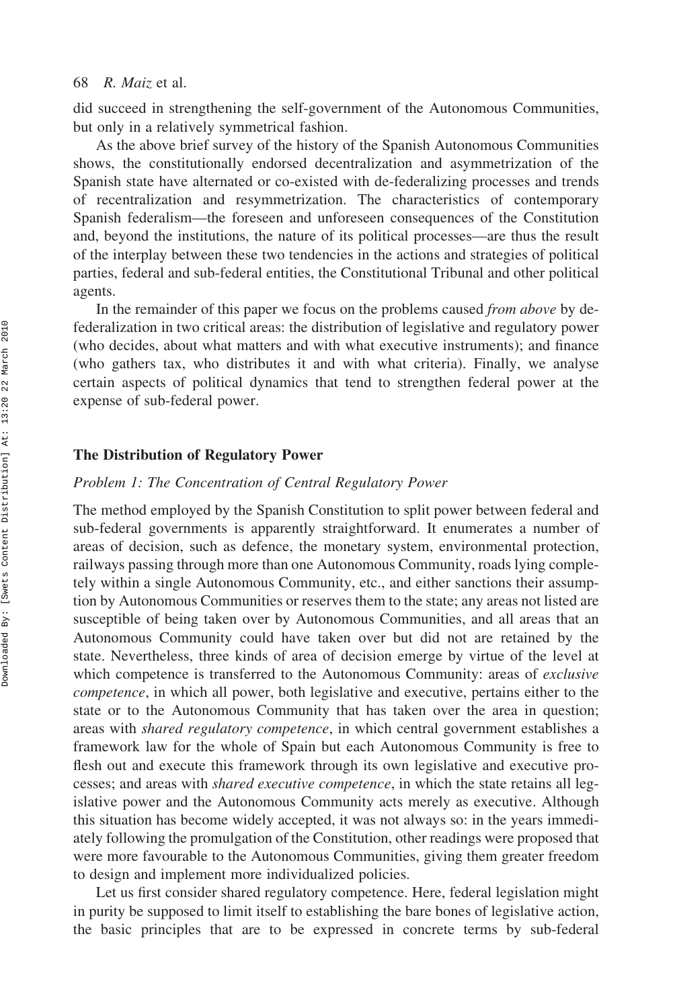did succeed in strengthening the self-government of the Autonomous Communities, but only in a relatively symmetrical fashion.

As the above brief survey of the history of the Spanish Autonomous Communities shows, the constitutionally endorsed decentralization and asymmetrization of the Spanish state have alternated or co-existed with de-federalizing processes and trends of recentralization and resymmetrization. The characteristics of contemporary Spanish federalism—the foreseen and unforeseen consequences of the Constitution and, beyond the institutions, the nature of its political processes—are thus the result of the interplay between these two tendencies in the actions and strategies of political parties, federal and sub-federal entities, the Constitutional Tribunal and other political agents.

In the remainder of this paper we focus on the problems caused from above by defederalization in two critical areas: the distribution of legislative and regulatory power (who decides, about what matters and with what executive instruments); and finance (who gathers tax, who distributes it and with what criteria). Finally, we analyse certain aspects of political dynamics that tend to strengthen federal power at the expense of sub-federal power.

# The Distribution of Regulatory Power

# Problem 1: The Concentration of Central Regulatory Power

The method employed by the Spanish Constitution to split power between federal and sub-federal governments is apparently straightforward. It enumerates a number of areas of decision, such as defence, the monetary system, environmental protection, railways passing through more than one Autonomous Community, roads lying completely within a single Autonomous Community, etc., and either sanctions their assumption by Autonomous Communities or reserves them to the state; any areas not listed are susceptible of being taken over by Autonomous Communities, and all areas that an Autonomous Community could have taken over but did not are retained by the state. Nevertheless, three kinds of area of decision emerge by virtue of the level at which competence is transferred to the Autonomous Community: areas of *exclusive* competence, in which all power, both legislative and executive, pertains either to the state or to the Autonomous Community that has taken over the area in question; areas with shared regulatory competence, in which central government establishes a framework law for the whole of Spain but each Autonomous Community is free to flesh out and execute this framework through its own legislative and executive processes; and areas with shared executive competence, in which the state retains all legislative power and the Autonomous Community acts merely as executive. Although this situation has become widely accepted, it was not always so: in the years immediately following the promulgation of the Constitution, other readings were proposed that were more favourable to the Autonomous Communities, giving them greater freedom to design and implement more individualized policies.

Let us first consider shared regulatory competence. Here, federal legislation might in purity be supposed to limit itself to establishing the bare bones of legislative action, the basic principles that are to be expressed in concrete terms by sub-federal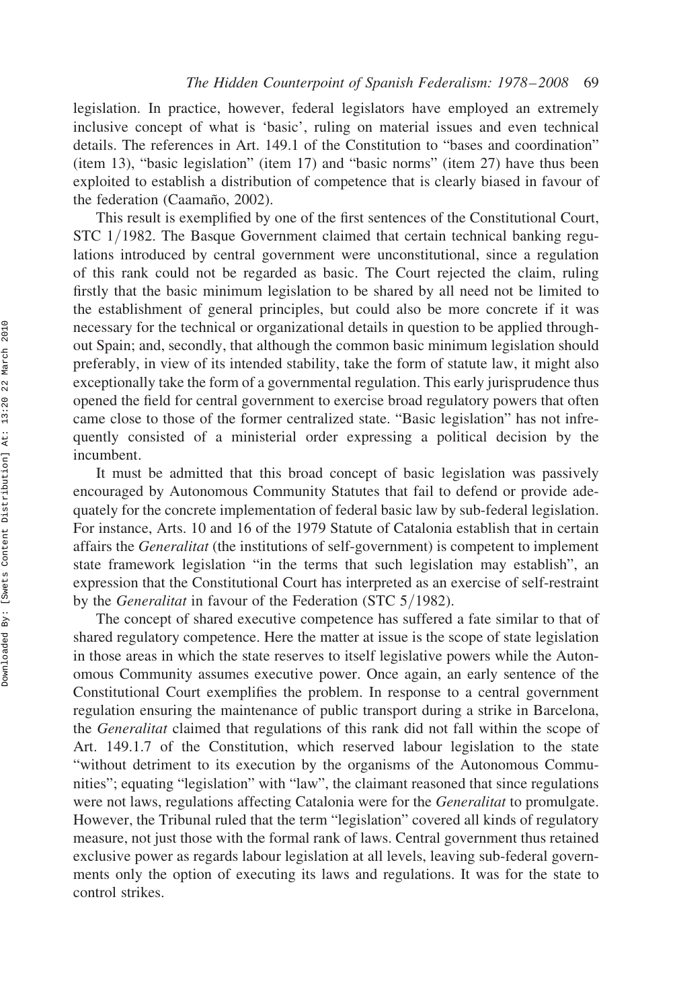legislation. In practice, however, federal legislators have employed an extremely inclusive concept of what is 'basic', ruling on material issues and even technical details. The references in Art. 149.1 of the Constitution to "bases and coordination" (item 13), "basic legislation" (item 17) and "basic norms" (item 27) have thus been exploited to establish a distribution of competence that is clearly biased in favour of the federation (Caamaño, 2002).

This result is exemplified by one of the first sentences of the Constitutional Court, STC 1/1982. The Basque Government claimed that certain technical banking regulations introduced by central government were unconstitutional, since a regulation of this rank could not be regarded as basic. The Court rejected the claim, ruling firstly that the basic minimum legislation to be shared by all need not be limited to the establishment of general principles, but could also be more concrete if it was necessary for the technical or organizational details in question to be applied throughout Spain; and, secondly, that although the common basic minimum legislation should preferably, in view of its intended stability, take the form of statute law, it might also exceptionally take the form of a governmental regulation. This early jurisprudence thus opened the field for central government to exercise broad regulatory powers that often came close to those of the former centralized state. "Basic legislation" has not infrequently consisted of a ministerial order expressing a political decision by the incumbent.

It must be admitted that this broad concept of basic legislation was passively encouraged by Autonomous Community Statutes that fail to defend or provide adequately for the concrete implementation of federal basic law by sub-federal legislation. For instance, Arts. 10 and 16 of the 1979 Statute of Catalonia establish that in certain affairs the Generalitat (the institutions of self-government) is competent to implement state framework legislation "in the terms that such legislation may establish", an expression that the Constitutional Court has interpreted as an exercise of self-restraint by the Generalitat in favour of the Federation (STC 5/1982).

The concept of shared executive competence has suffered a fate similar to that of shared regulatory competence. Here the matter at issue is the scope of state legislation in those areas in which the state reserves to itself legislative powers while the Autonomous Community assumes executive power. Once again, an early sentence of the Constitutional Court exemplifies the problem. In response to a central government regulation ensuring the maintenance of public transport during a strike in Barcelona, the Generalitat claimed that regulations of this rank did not fall within the scope of Art. 149.1.7 of the Constitution, which reserved labour legislation to the state "without detriment to its execution by the organisms of the Autonomous Communities"; equating "legislation" with "law", the claimant reasoned that since regulations were not laws, regulations affecting Catalonia were for the *Generalitat* to promulgate. However, the Tribunal ruled that the term "legislation" covered all kinds of regulatory measure, not just those with the formal rank of laws. Central government thus retained exclusive power as regards labour legislation at all levels, leaving sub-federal governments only the option of executing its laws and regulations. It was for the state to control strikes.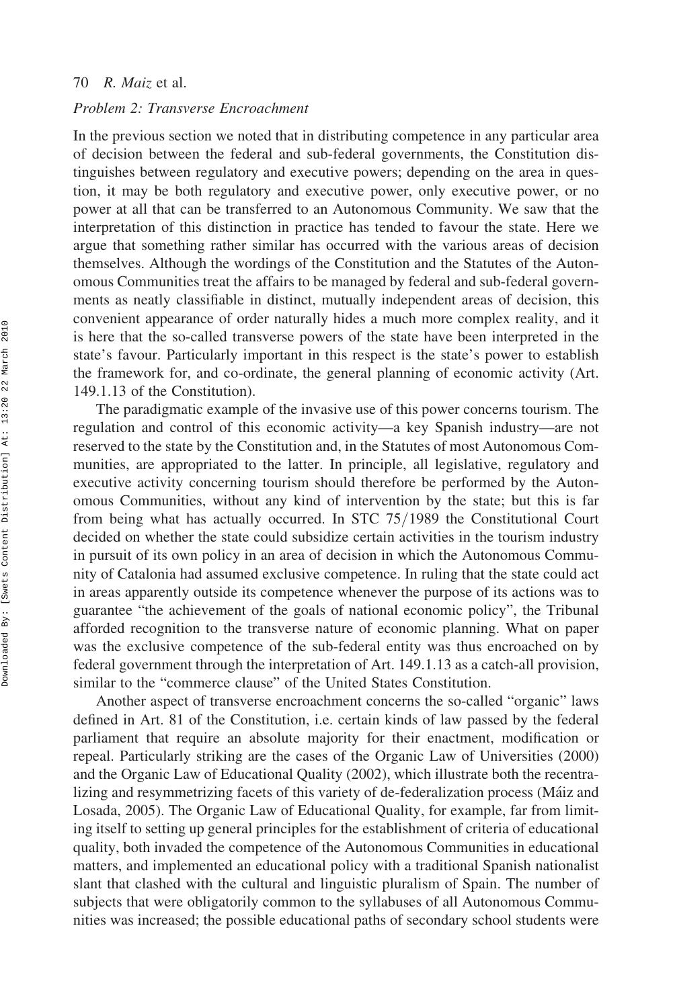# Problem 2: Transverse Encroachment

In the previous section we noted that in distributing competence in any particular area of decision between the federal and sub-federal governments, the Constitution distinguishes between regulatory and executive powers; depending on the area in question, it may be both regulatory and executive power, only executive power, or no power at all that can be transferred to an Autonomous Community. We saw that the interpretation of this distinction in practice has tended to favour the state. Here we argue that something rather similar has occurred with the various areas of decision themselves. Although the wordings of the Constitution and the Statutes of the Autonomous Communities treat the affairs to be managed by federal and sub-federal governments as neatly classifiable in distinct, mutually independent areas of decision, this convenient appearance of order naturally hides a much more complex reality, and it is here that the so-called transverse powers of the state have been interpreted in the state's favour. Particularly important in this respect is the state's power to establish the framework for, and co-ordinate, the general planning of economic activity (Art. 149.1.13 of the Constitution).

The paradigmatic example of the invasive use of this power concerns tourism. The regulation and control of this economic activity—a key Spanish industry—are not reserved to the state by the Constitution and, in the Statutes of most Autonomous Communities, are appropriated to the latter. In principle, all legislative, regulatory and executive activity concerning tourism should therefore be performed by the Autonomous Communities, without any kind of intervention by the state; but this is far from being what has actually occurred. In STC 75/1989 the Constitutional Court decided on whether the state could subsidize certain activities in the tourism industry in pursuit of its own policy in an area of decision in which the Autonomous Community of Catalonia had assumed exclusive competence. In ruling that the state could act in areas apparently outside its competence whenever the purpose of its actions was to guarantee "the achievement of the goals of national economic policy", the Tribunal afforded recognition to the transverse nature of economic planning. What on paper was the exclusive competence of the sub-federal entity was thus encroached on by federal government through the interpretation of Art. 149.1.13 as a catch-all provision, similar to the "commerce clause" of the United States Constitution.

Another aspect of transverse encroachment concerns the so-called "organic" laws defined in Art. 81 of the Constitution, i.e. certain kinds of law passed by the federal parliament that require an absolute majority for their enactment, modification or repeal. Particularly striking are the cases of the Organic Law of Universities (2000) and the Organic Law of Educational Quality (2002), which illustrate both the recentralizing and resymmetrizing facets of this variety of de-federalization process (Máiz and Losada, 2005). The Organic Law of Educational Quality, for example, far from limiting itself to setting up general principles for the establishment of criteria of educational quality, both invaded the competence of the Autonomous Communities in educational matters, and implemented an educational policy with a traditional Spanish nationalist slant that clashed with the cultural and linguistic pluralism of Spain. The number of subjects that were obligatorily common to the syllabuses of all Autonomous Communities was increased; the possible educational paths of secondary school students were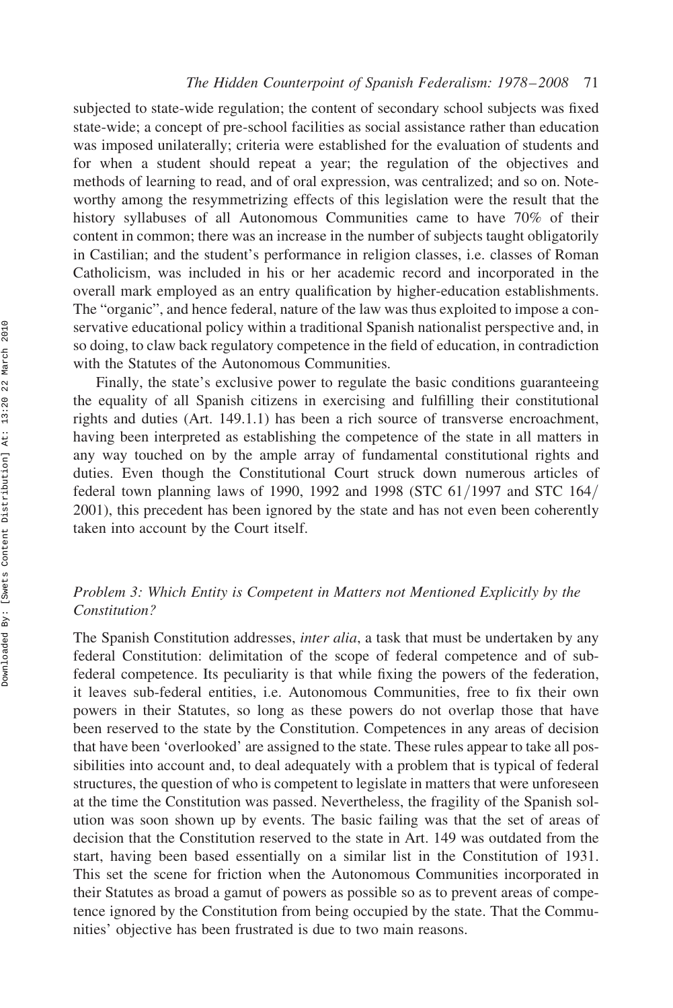# The Hidden Counterpoint of Spanish Federalism: 1978–2008 71

subjected to state-wide regulation; the content of secondary school subjects was fixed state-wide; a concept of pre-school facilities as social assistance rather than education was imposed unilaterally; criteria were established for the evaluation of students and for when a student should repeat a year; the regulation of the objectives and methods of learning to read, and of oral expression, was centralized; and so on. Noteworthy among the resymmetrizing effects of this legislation were the result that the history syllabuses of all Autonomous Communities came to have 70% of their content in common; there was an increase in the number of subjects taught obligatorily in Castilian; and the student's performance in religion classes, i.e. classes of Roman Catholicism, was included in his or her academic record and incorporated in the overall mark employed as an entry qualification by higher-education establishments. The "organic", and hence federal, nature of the law was thus exploited to impose a conservative educational policy within a traditional Spanish nationalist perspective and, in so doing, to claw back regulatory competence in the field of education, in contradiction with the Statutes of the Autonomous Communities.

Finally, the state's exclusive power to regulate the basic conditions guaranteeing the equality of all Spanish citizens in exercising and fulfilling their constitutional rights and duties (Art. 149.1.1) has been a rich source of transverse encroachment, having been interpreted as establishing the competence of the state in all matters in any way touched on by the ample array of fundamental constitutional rights and duties. Even though the Constitutional Court struck down numerous articles of federal town planning laws of 1990, 1992 and 1998 (STC 61/1997 and STC 164/ 2001), this precedent has been ignored by the state and has not even been coherently taken into account by the Court itself.

# Problem 3: Which Entity is Competent in Matters not Mentioned Explicitly by the Constitution?

The Spanish Constitution addresses, *inter alia*, a task that must be undertaken by any federal Constitution: delimitation of the scope of federal competence and of subfederal competence. Its peculiarity is that while fixing the powers of the federation, it leaves sub-federal entities, i.e. Autonomous Communities, free to fix their own powers in their Statutes, so long as these powers do not overlap those that have been reserved to the state by the Constitution. Competences in any areas of decision that have been 'overlooked' are assigned to the state. These rules appear to take all possibilities into account and, to deal adequately with a problem that is typical of federal structures, the question of who is competent to legislate in matters that were unforeseen at the time the Constitution was passed. Nevertheless, the fragility of the Spanish solution was soon shown up by events. The basic failing was that the set of areas of decision that the Constitution reserved to the state in Art. 149 was outdated from the start, having been based essentially on a similar list in the Constitution of 1931. This set the scene for friction when the Autonomous Communities incorporated in their Statutes as broad a gamut of powers as possible so as to prevent areas of competence ignored by the Constitution from being occupied by the state. That the Communities' objective has been frustrated is due to two main reasons.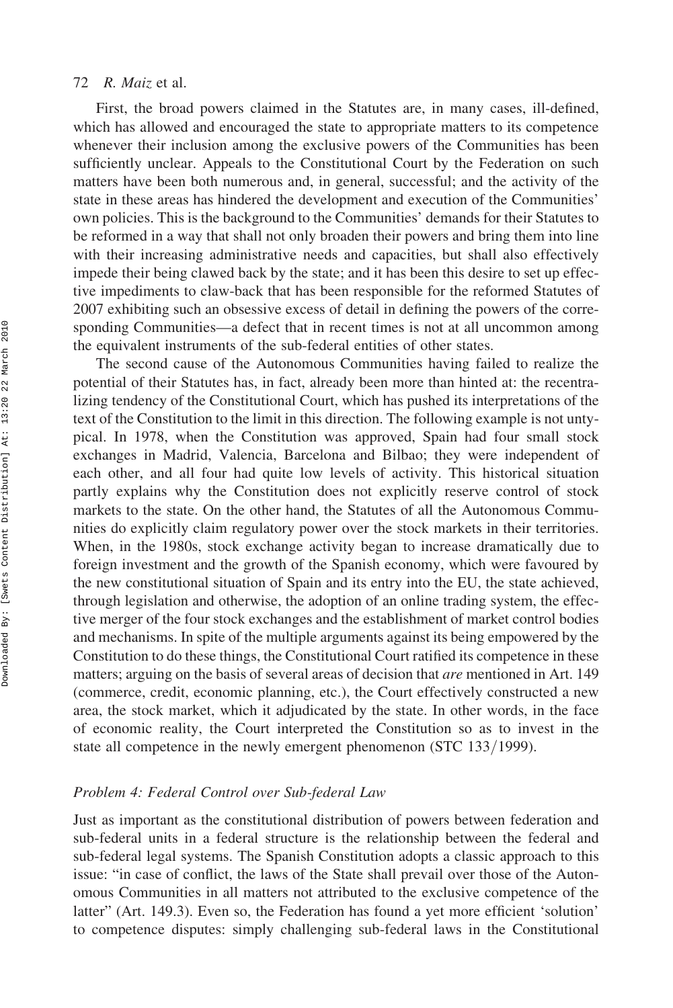First, the broad powers claimed in the Statutes are, in many cases, ill-defined, which has allowed and encouraged the state to appropriate matters to its competence whenever their inclusion among the exclusive powers of the Communities has been sufficiently unclear. Appeals to the Constitutional Court by the Federation on such matters have been both numerous and, in general, successful; and the activity of the state in these areas has hindered the development and execution of the Communities' own policies. This is the background to the Communities' demands for their Statutes to be reformed in a way that shall not only broaden their powers and bring them into line with their increasing administrative needs and capacities, but shall also effectively impede their being clawed back by the state; and it has been this desire to set up effective impediments to claw-back that has been responsible for the reformed Statutes of 2007 exhibiting such an obsessive excess of detail in defining the powers of the corresponding Communities—a defect that in recent times is not at all uncommon among the equivalent instruments of the sub-federal entities of other states.

The second cause of the Autonomous Communities having failed to realize the potential of their Statutes has, in fact, already been more than hinted at: the recentralizing tendency of the Constitutional Court, which has pushed its interpretations of the text of the Constitution to the limit in this direction. The following example is not untypical. In 1978, when the Constitution was approved, Spain had four small stock exchanges in Madrid, Valencia, Barcelona and Bilbao; they were independent of each other, and all four had quite low levels of activity. This historical situation partly explains why the Constitution does not explicitly reserve control of stock markets to the state. On the other hand, the Statutes of all the Autonomous Communities do explicitly claim regulatory power over the stock markets in their territories. When, in the 1980s, stock exchange activity began to increase dramatically due to foreign investment and the growth of the Spanish economy, which were favoured by the new constitutional situation of Spain and its entry into the EU, the state achieved, through legislation and otherwise, the adoption of an online trading system, the effective merger of the four stock exchanges and the establishment of market control bodies and mechanisms. In spite of the multiple arguments against its being empowered by the Constitution to do these things, the Constitutional Court ratified its competence in these matters; arguing on the basis of several areas of decision that *are* mentioned in Art. 149 (commerce, credit, economic planning, etc.), the Court effectively constructed a new area, the stock market, which it adjudicated by the state. In other words, in the face of economic reality, the Court interpreted the Constitution so as to invest in the state all competence in the newly emergent phenomenon (STC 133/1999).

# Problem 4: Federal Control over Sub-federal Law

Just as important as the constitutional distribution of powers between federation and sub-federal units in a federal structure is the relationship between the federal and sub-federal legal systems. The Spanish Constitution adopts a classic approach to this issue: "in case of conflict, the laws of the State shall prevail over those of the Autonomous Communities in all matters not attributed to the exclusive competence of the latter" (Art. 149.3). Even so, the Federation has found a yet more efficient 'solution' to competence disputes: simply challenging sub-federal laws in the Constitutional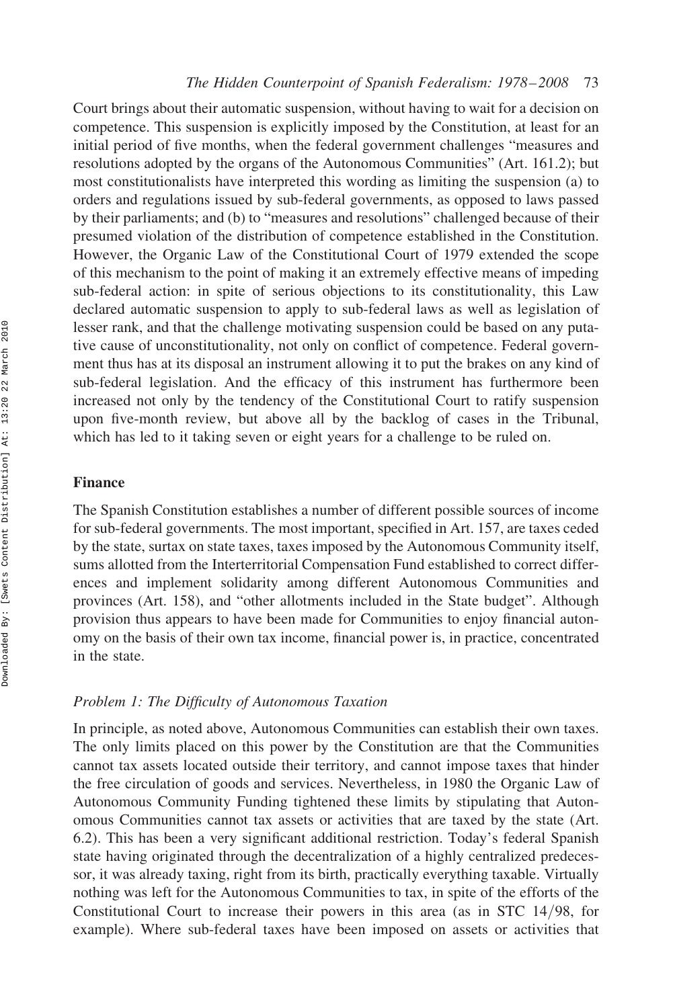## The Hidden Counterpoint of Spanish Federalism: 1978–2008 73

Court brings about their automatic suspension, without having to wait for a decision on competence. This suspension is explicitly imposed by the Constitution, at least for an initial period of five months, when the federal government challenges "measures and resolutions adopted by the organs of the Autonomous Communities" (Art. 161.2); but most constitutionalists have interpreted this wording as limiting the suspension (a) to orders and regulations issued by sub-federal governments, as opposed to laws passed by their parliaments; and (b) to "measures and resolutions" challenged because of their presumed violation of the distribution of competence established in the Constitution. However, the Organic Law of the Constitutional Court of 1979 extended the scope of this mechanism to the point of making it an extremely effective means of impeding sub-federal action: in spite of serious objections to its constitutionality, this Law declared automatic suspension to apply to sub-federal laws as well as legislation of lesser rank, and that the challenge motivating suspension could be based on any putative cause of unconstitutionality, not only on conflict of competence. Federal government thus has at its disposal an instrument allowing it to put the brakes on any kind of sub-federal legislation. And the efficacy of this instrument has furthermore been increased not only by the tendency of the Constitutional Court to ratify suspension upon five-month review, but above all by the backlog of cases in the Tribunal, which has led to it taking seven or eight years for a challenge to be ruled on.

# Finance

The Spanish Constitution establishes a number of different possible sources of income for sub-federal governments. The most important, specified in Art. 157, are taxes ceded by the state, surtax on state taxes, taxes imposed by the Autonomous Community itself, sums allotted from the Interterritorial Compensation Fund established to correct differences and implement solidarity among different Autonomous Communities and provinces (Art. 158), and "other allotments included in the State budget". Although provision thus appears to have been made for Communities to enjoy financial autonomy on the basis of their own tax income, financial power is, in practice, concentrated in the state.

# Problem 1: The Difficulty of Autonomous Taxation

In principle, as noted above, Autonomous Communities can establish their own taxes. The only limits placed on this power by the Constitution are that the Communities cannot tax assets located outside their territory, and cannot impose taxes that hinder the free circulation of goods and services. Nevertheless, in 1980 the Organic Law of Autonomous Community Funding tightened these limits by stipulating that Autonomous Communities cannot tax assets or activities that are taxed by the state (Art. 6.2). This has been a very significant additional restriction. Today's federal Spanish state having originated through the decentralization of a highly centralized predecessor, it was already taxing, right from its birth, practically everything taxable. Virtually nothing was left for the Autonomous Communities to tax, in spite of the efforts of the Constitutional Court to increase their powers in this area (as in STC 14/98, for example). Where sub-federal taxes have been imposed on assets or activities that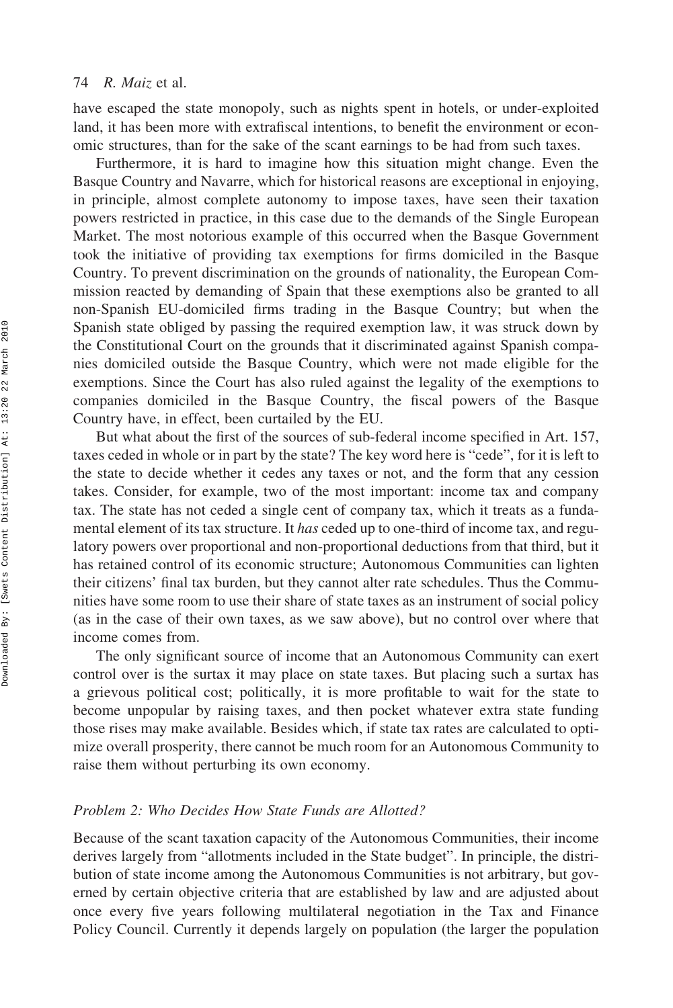have escaped the state monopoly, such as nights spent in hotels, or under-exploited land, it has been more with extrafiscal intentions, to benefit the environment or economic structures, than for the sake of the scant earnings to be had from such taxes.

Furthermore, it is hard to imagine how this situation might change. Even the Basque Country and Navarre, which for historical reasons are exceptional in enjoying, in principle, almost complete autonomy to impose taxes, have seen their taxation powers restricted in practice, in this case due to the demands of the Single European Market. The most notorious example of this occurred when the Basque Government took the initiative of providing tax exemptions for firms domiciled in the Basque Country. To prevent discrimination on the grounds of nationality, the European Commission reacted by demanding of Spain that these exemptions also be granted to all non-Spanish EU-domiciled firms trading in the Basque Country; but when the Spanish state obliged by passing the required exemption law, it was struck down by the Constitutional Court on the grounds that it discriminated against Spanish companies domiciled outside the Basque Country, which were not made eligible for the exemptions. Since the Court has also ruled against the legality of the exemptions to companies domiciled in the Basque Country, the fiscal powers of the Basque Country have, in effect, been curtailed by the EU.

But what about the first of the sources of sub-federal income specified in Art. 157, taxes ceded in whole or in part by the state? The key word here is "cede", for it is left to the state to decide whether it cedes any taxes or not, and the form that any cession takes. Consider, for example, two of the most important: income tax and company tax. The state has not ceded a single cent of company tax, which it treats as a fundamental element of its tax structure. It has ceded up to one-third of income tax, and regulatory powers over proportional and non-proportional deductions from that third, but it has retained control of its economic structure; Autonomous Communities can lighten their citizens' final tax burden, but they cannot alter rate schedules. Thus the Communities have some room to use their share of state taxes as an instrument of social policy (as in the case of their own taxes, as we saw above), but no control over where that income comes from.

The only significant source of income that an Autonomous Community can exert control over is the surtax it may place on state taxes. But placing such a surtax has a grievous political cost; politically, it is more profitable to wait for the state to become unpopular by raising taxes, and then pocket whatever extra state funding those rises may make available. Besides which, if state tax rates are calculated to optimize overall prosperity, there cannot be much room for an Autonomous Community to raise them without perturbing its own economy.

# Problem 2: Who Decides How State Funds are Allotted?

Because of the scant taxation capacity of the Autonomous Communities, their income derives largely from "allotments included in the State budget". In principle, the distribution of state income among the Autonomous Communities is not arbitrary, but governed by certain objective criteria that are established by law and are adjusted about once every five years following multilateral negotiation in the Tax and Finance Policy Council. Currently it depends largely on population (the larger the population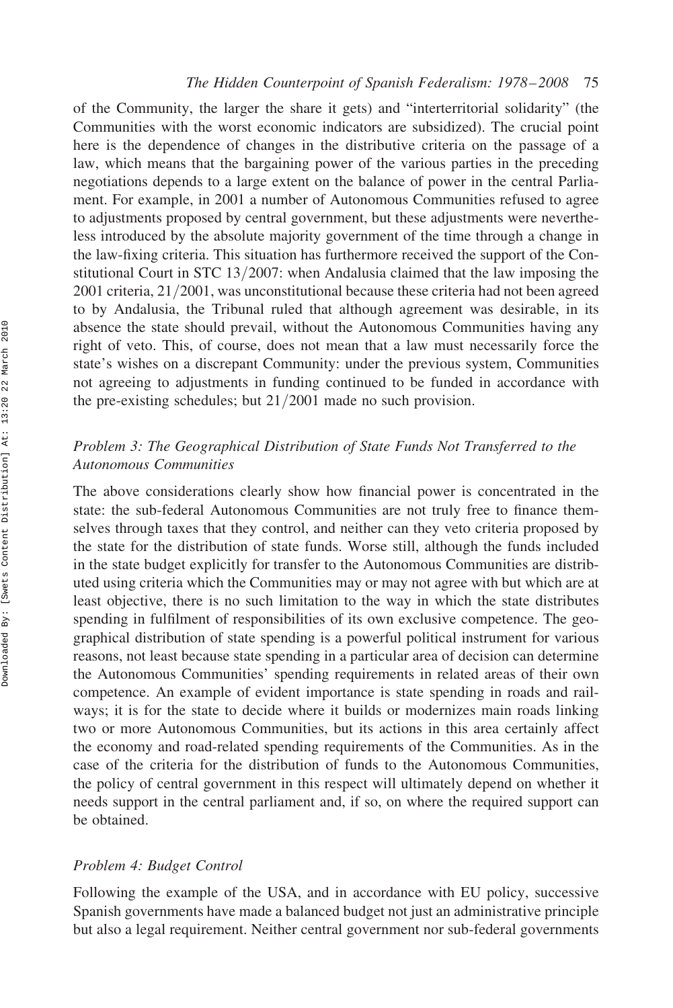of the Community, the larger the share it gets) and "interterritorial solidarity" (the Communities with the worst economic indicators are subsidized). The crucial point here is the dependence of changes in the distributive criteria on the passage of a law, which means that the bargaining power of the various parties in the preceding negotiations depends to a large extent on the balance of power in the central Parliament. For example, in 2001 a number of Autonomous Communities refused to agree to adjustments proposed by central government, but these adjustments were nevertheless introduced by the absolute majority government of the time through a change in the law-fixing criteria. This situation has furthermore received the support of the Constitutional Court in STC 13/2007: when Andalusia claimed that the law imposing the 2001 criteria, 21/2001, was unconstitutional because these criteria had not been agreed to by Andalusia, the Tribunal ruled that although agreement was desirable, in its absence the state should prevail, without the Autonomous Communities having any right of veto. This, of course, does not mean that a law must necessarily force the state's wishes on a discrepant Community: under the previous system, Communities not agreeing to adjustments in funding continued to be funded in accordance with the pre-existing schedules; but 21/2001 made no such provision.

# Problem 3: The Geographical Distribution of State Funds Not Transferred to the Autonomous Communities

The above considerations clearly show how financial power is concentrated in the state: the sub-federal Autonomous Communities are not truly free to finance themselves through taxes that they control, and neither can they veto criteria proposed by the state for the distribution of state funds. Worse still, although the funds included in the state budget explicitly for transfer to the Autonomous Communities are distributed using criteria which the Communities may or may not agree with but which are at least objective, there is no such limitation to the way in which the state distributes spending in fulfilment of responsibilities of its own exclusive competence. The geographical distribution of state spending is a powerful political instrument for various reasons, not least because state spending in a particular area of decision can determine the Autonomous Communities' spending requirements in related areas of their own competence. An example of evident importance is state spending in roads and railways; it is for the state to decide where it builds or modernizes main roads linking two or more Autonomous Communities, but its actions in this area certainly affect the economy and road-related spending requirements of the Communities. As in the case of the criteria for the distribution of funds to the Autonomous Communities, the policy of central government in this respect will ultimately depend on whether it needs support in the central parliament and, if so, on where the required support can be obtained.

# Problem 4: Budget Control

Following the example of the USA, and in accordance with EU policy, successive Spanish governments have made a balanced budget not just an administrative principle but also a legal requirement. Neither central government nor sub-federal governments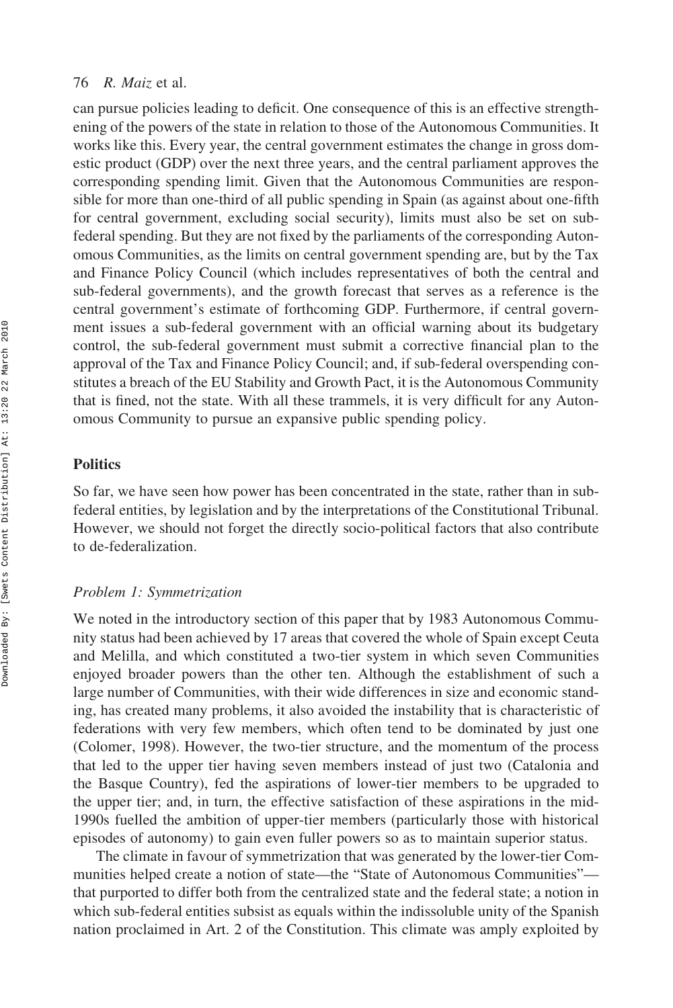can pursue policies leading to deficit. One consequence of this is an effective strengthening of the powers of the state in relation to those of the Autonomous Communities. It works like this. Every year, the central government estimates the change in gross domestic product (GDP) over the next three years, and the central parliament approves the corresponding spending limit. Given that the Autonomous Communities are responsible for more than one-third of all public spending in Spain (as against about one-fifth for central government, excluding social security), limits must also be set on subfederal spending. But they are not fixed by the parliaments of the corresponding Autonomous Communities, as the limits on central government spending are, but by the Tax and Finance Policy Council (which includes representatives of both the central and sub-federal governments), and the growth forecast that serves as a reference is the central government's estimate of forthcoming GDP. Furthermore, if central government issues a sub-federal government with an official warning about its budgetary control, the sub-federal government must submit a corrective financial plan to the approval of the Tax and Finance Policy Council; and, if sub-federal overspending constitutes a breach of the EU Stability and Growth Pact, it is the Autonomous Community that is fined, not the state. With all these trammels, it is very difficult for any Autonomous Community to pursue an expansive public spending policy.

# **Politics**

So far, we have seen how power has been concentrated in the state, rather than in subfederal entities, by legislation and by the interpretations of the Constitutional Tribunal. However, we should not forget the directly socio-political factors that also contribute to de-federalization.

# Problem 1: Symmetrization

We noted in the introductory section of this paper that by 1983 Autonomous Community status had been achieved by 17 areas that covered the whole of Spain except Ceuta and Melilla, and which constituted a two-tier system in which seven Communities enjoyed broader powers than the other ten. Although the establishment of such a large number of Communities, with their wide differences in size and economic standing, has created many problems, it also avoided the instability that is characteristic of federations with very few members, which often tend to be dominated by just one (Colomer, 1998). However, the two-tier structure, and the momentum of the process that led to the upper tier having seven members instead of just two (Catalonia and the Basque Country), fed the aspirations of lower-tier members to be upgraded to the upper tier; and, in turn, the effective satisfaction of these aspirations in the mid-1990s fuelled the ambition of upper-tier members (particularly those with historical episodes of autonomy) to gain even fuller powers so as to maintain superior status.

The climate in favour of symmetrization that was generated by the lower-tier Communities helped create a notion of state—the "State of Autonomous Communities" that purported to differ both from the centralized state and the federal state; a notion in which sub-federal entities subsist as equals within the indissoluble unity of the Spanish nation proclaimed in Art. 2 of the Constitution. This climate was amply exploited by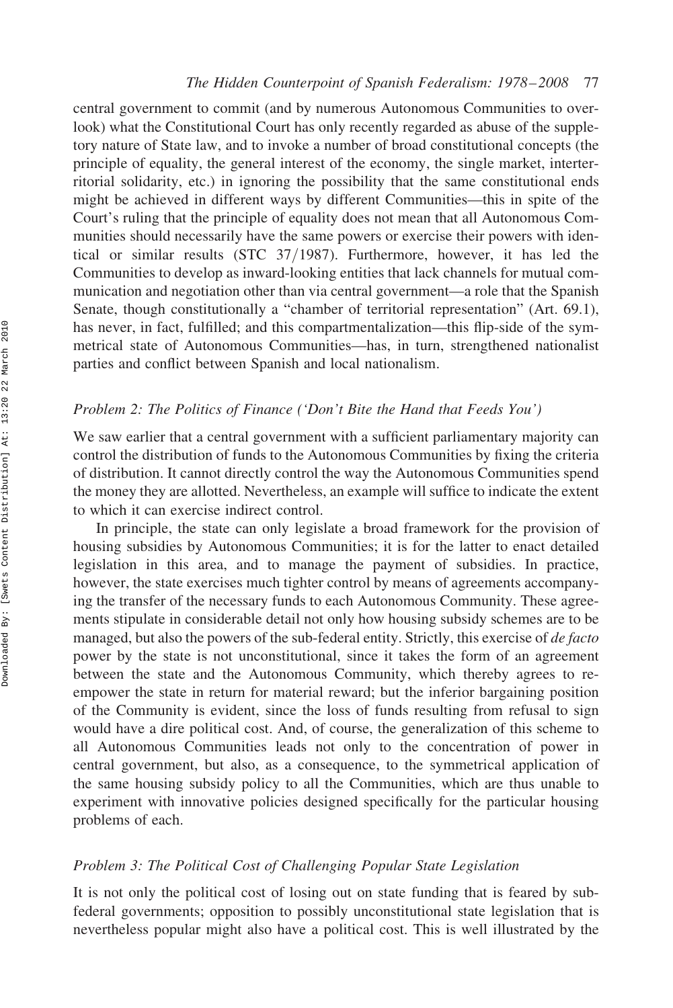### The Hidden Counterpoint of Spanish Federalism: 1978–2008 77

central government to commit (and by numerous Autonomous Communities to overlook) what the Constitutional Court has only recently regarded as abuse of the suppletory nature of State law, and to invoke a number of broad constitutional concepts (the principle of equality, the general interest of the economy, the single market, interterritorial solidarity, etc.) in ignoring the possibility that the same constitutional ends might be achieved in different ways by different Communities—this in spite of the Court's ruling that the principle of equality does not mean that all Autonomous Communities should necessarily have the same powers or exercise their powers with identical or similar results (STC 37/1987). Furthermore, however, it has led the Communities to develop as inward-looking entities that lack channels for mutual communication and negotiation other than via central government—a role that the Spanish Senate, though constitutionally a "chamber of territorial representation" (Art. 69.1), has never, in fact, fulfilled; and this compartmentalization—this flip-side of the symmetrical state of Autonomous Communities—has, in turn, strengthened nationalist parties and conflict between Spanish and local nationalism.

# Problem 2: The Politics of Finance ('Don't Bite the Hand that Feeds You')

We saw earlier that a central government with a sufficient parliamentary majority can control the distribution of funds to the Autonomous Communities by fixing the criteria of distribution. It cannot directly control the way the Autonomous Communities spend the money they are allotted. Nevertheless, an example will suffice to indicate the extent to which it can exercise indirect control.

In principle, the state can only legislate a broad framework for the provision of housing subsidies by Autonomous Communities; it is for the latter to enact detailed legislation in this area, and to manage the payment of subsidies. In practice, however, the state exercises much tighter control by means of agreements accompanying the transfer of the necessary funds to each Autonomous Community. These agreements stipulate in considerable detail not only how housing subsidy schemes are to be managed, but also the powers of the sub-federal entity. Strictly, this exercise of de facto power by the state is not unconstitutional, since it takes the form of an agreement between the state and the Autonomous Community, which thereby agrees to reempower the state in return for material reward; but the inferior bargaining position of the Community is evident, since the loss of funds resulting from refusal to sign would have a dire political cost. And, of course, the generalization of this scheme to all Autonomous Communities leads not only to the concentration of power in central government, but also, as a consequence, to the symmetrical application of the same housing subsidy policy to all the Communities, which are thus unable to experiment with innovative policies designed specifically for the particular housing problems of each.

# Problem 3: The Political Cost of Challenging Popular State Legislation

It is not only the political cost of losing out on state funding that is feared by subfederal governments; opposition to possibly unconstitutional state legislation that is nevertheless popular might also have a political cost. This is well illustrated by the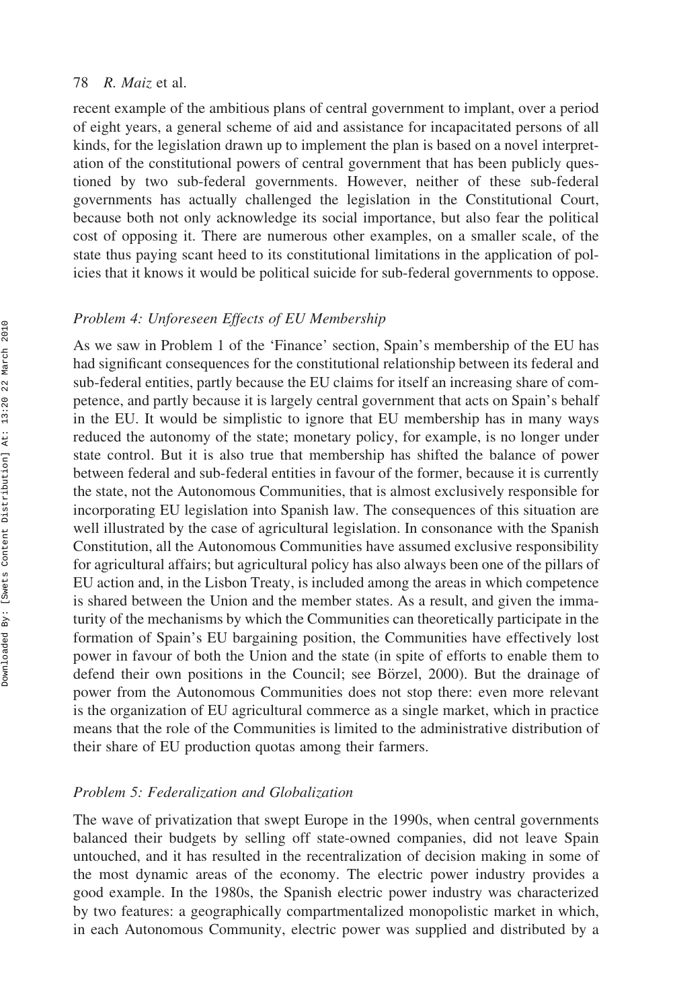recent example of the ambitious plans of central government to implant, over a period of eight years, a general scheme of aid and assistance for incapacitated persons of all kinds, for the legislation drawn up to implement the plan is based on a novel interpretation of the constitutional powers of central government that has been publicly questioned by two sub-federal governments. However, neither of these sub-federal governments has actually challenged the legislation in the Constitutional Court, because both not only acknowledge its social importance, but also fear the political cost of opposing it. There are numerous other examples, on a smaller scale, of the state thus paying scant heed to its constitutional limitations in the application of policies that it knows it would be political suicide for sub-federal governments to oppose.

# Problem 4: Unforeseen Effects of EU Membership

As we saw in Problem 1 of the 'Finance' section, Spain's membership of the EU has had significant consequences for the constitutional relationship between its federal and sub-federal entities, partly because the EU claims for itself an increasing share of competence, and partly because it is largely central government that acts on Spain's behalf in the EU. It would be simplistic to ignore that EU membership has in many ways reduced the autonomy of the state; monetary policy, for example, is no longer under state control. But it is also true that membership has shifted the balance of power between federal and sub-federal entities in favour of the former, because it is currently the state, not the Autonomous Communities, that is almost exclusively responsible for incorporating EU legislation into Spanish law. The consequences of this situation are well illustrated by the case of agricultural legislation. In consonance with the Spanish Constitution, all the Autonomous Communities have assumed exclusive responsibility for agricultural affairs; but agricultural policy has also always been one of the pillars of EU action and, in the Lisbon Treaty, is included among the areas in which competence is shared between the Union and the member states. As a result, and given the immaturity of the mechanisms by which the Communities can theoretically participate in the formation of Spain's EU bargaining position, the Communities have effectively lost power in favour of both the Union and the state (in spite of efforts to enable them to defend their own positions in the Council; see Börzel, 2000). But the drainage of power from the Autonomous Communities does not stop there: even more relevant is the organization of EU agricultural commerce as a single market, which in practice means that the role of the Communities is limited to the administrative distribution of their share of EU production quotas among their farmers.

# Problem 5: Federalization and Globalization

The wave of privatization that swept Europe in the 1990s, when central governments balanced their budgets by selling off state-owned companies, did not leave Spain untouched, and it has resulted in the recentralization of decision making in some of the most dynamic areas of the economy. The electric power industry provides a good example. In the 1980s, the Spanish electric power industry was characterized by two features: a geographically compartmentalized monopolistic market in which, in each Autonomous Community, electric power was supplied and distributed by a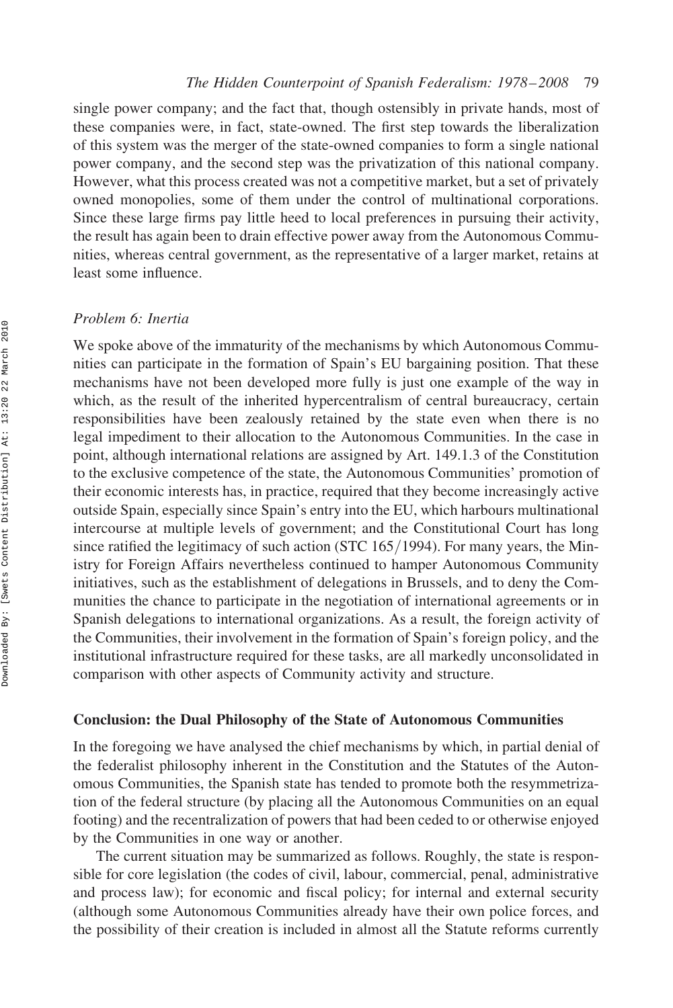### The Hidden Counterpoint of Spanish Federalism: 1978–2008 79

single power company; and the fact that, though ostensibly in private hands, most of these companies were, in fact, state-owned. The first step towards the liberalization of this system was the merger of the state-owned companies to form a single national power company, and the second step was the privatization of this national company. However, what this process created was not a competitive market, but a set of privately owned monopolies, some of them under the control of multinational corporations. Since these large firms pay little heed to local preferences in pursuing their activity, the result has again been to drain effective power away from the Autonomous Communities, whereas central government, as the representative of a larger market, retains at least some influence.

# Problem 6: Inertia

We spoke above of the immaturity of the mechanisms by which Autonomous Communities can participate in the formation of Spain's EU bargaining position. That these mechanisms have not been developed more fully is just one example of the way in which, as the result of the inherited hypercentralism of central bureaucracy, certain responsibilities have been zealously retained by the state even when there is no legal impediment to their allocation to the Autonomous Communities. In the case in point, although international relations are assigned by Art. 149.1.3 of the Constitution to the exclusive competence of the state, the Autonomous Communities' promotion of their economic interests has, in practice, required that they become increasingly active outside Spain, especially since Spain's entry into the EU, which harbours multinational intercourse at multiple levels of government; and the Constitutional Court has long since ratified the legitimacy of such action (STC 165/1994). For many years, the Ministry for Foreign Affairs nevertheless continued to hamper Autonomous Community initiatives, such as the establishment of delegations in Brussels, and to deny the Communities the chance to participate in the negotiation of international agreements or in Spanish delegations to international organizations. As a result, the foreign activity of the Communities, their involvement in the formation of Spain's foreign policy, and the institutional infrastructure required for these tasks, are all markedly unconsolidated in comparison with other aspects of Community activity and structure.

# Conclusion: the Dual Philosophy of the State of Autonomous Communities

In the foregoing we have analysed the chief mechanisms by which, in partial denial of the federalist philosophy inherent in the Constitution and the Statutes of the Autonomous Communities, the Spanish state has tended to promote both the resymmetrization of the federal structure (by placing all the Autonomous Communities on an equal footing) and the recentralization of powers that had been ceded to or otherwise enjoyed by the Communities in one way or another.

The current situation may be summarized as follows. Roughly, the state is responsible for core legislation (the codes of civil, labour, commercial, penal, administrative and process law); for economic and fiscal policy; for internal and external security (although some Autonomous Communities already have their own police forces, and the possibility of their creation is included in almost all the Statute reforms currently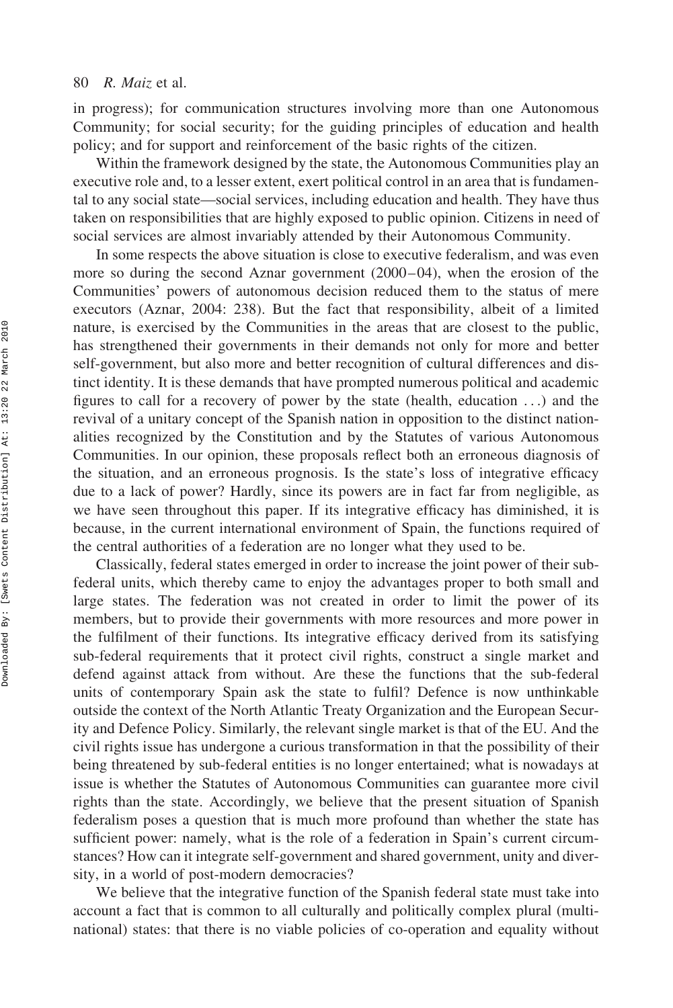in progress); for communication structures involving more than one Autonomous Community; for social security; for the guiding principles of education and health policy; and for support and reinforcement of the basic rights of the citizen.

Within the framework designed by the state, the Autonomous Communities play an executive role and, to a lesser extent, exert political control in an area that is fundamental to any social state—social services, including education and health. They have thus taken on responsibilities that are highly exposed to public opinion. Citizens in need of social services are almost invariably attended by their Autonomous Community.

In some respects the above situation is close to executive federalism, and was even more so during the second Aznar government (2000–04), when the erosion of the Communities' powers of autonomous decision reduced them to the status of mere executors (Aznar, 2004: 238). But the fact that responsibility, albeit of a limited nature, is exercised by the Communities in the areas that are closest to the public, has strengthened their governments in their demands not only for more and better self-government, but also more and better recognition of cultural differences and distinct identity. It is these demands that have prompted numerous political and academic figures to call for a recovery of power by the state (health, education ...) and the revival of a unitary concept of the Spanish nation in opposition to the distinct nationalities recognized by the Constitution and by the Statutes of various Autonomous Communities. In our opinion, these proposals reflect both an erroneous diagnosis of the situation, and an erroneous prognosis. Is the state's loss of integrative efficacy due to a lack of power? Hardly, since its powers are in fact far from negligible, as we have seen throughout this paper. If its integrative efficacy has diminished, it is because, in the current international environment of Spain, the functions required of the central authorities of a federation are no longer what they used to be.

Classically, federal states emerged in order to increase the joint power of their subfederal units, which thereby came to enjoy the advantages proper to both small and large states. The federation was not created in order to limit the power of its members, but to provide their governments with more resources and more power in the fulfilment of their functions. Its integrative efficacy derived from its satisfying sub-federal requirements that it protect civil rights, construct a single market and defend against attack from without. Are these the functions that the sub-federal units of contemporary Spain ask the state to fulfil? Defence is now unthinkable outside the context of the North Atlantic Treaty Organization and the European Security and Defence Policy. Similarly, the relevant single market is that of the EU. And the civil rights issue has undergone a curious transformation in that the possibility of their being threatened by sub-federal entities is no longer entertained; what is nowadays at issue is whether the Statutes of Autonomous Communities can guarantee more civil rights than the state. Accordingly, we believe that the present situation of Spanish federalism poses a question that is much more profound than whether the state has sufficient power: namely, what is the role of a federation in Spain's current circumstances? How can it integrate self-government and shared government, unity and diversity, in a world of post-modern democracies?

We believe that the integrative function of the Spanish federal state must take into account a fact that is common to all culturally and politically complex plural (multinational) states: that there is no viable policies of co-operation and equality without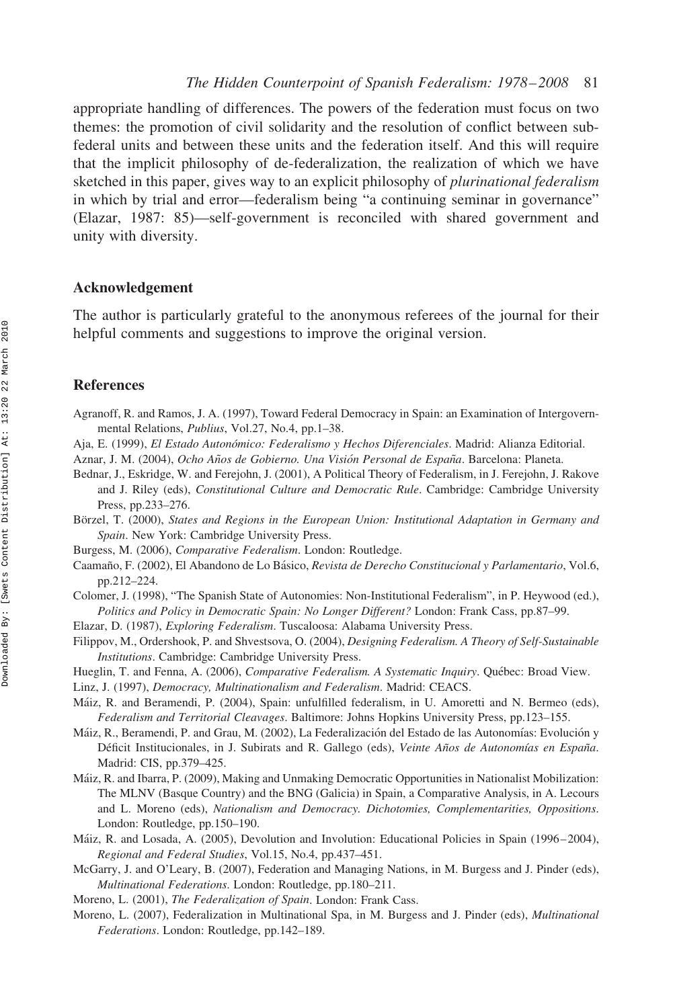appropriate handling of differences. The powers of the federation must focus on two themes: the promotion of civil solidarity and the resolution of conflict between subfederal units and between these units and the federation itself. And this will require that the implicit philosophy of de-federalization, the realization of which we have sketched in this paper, gives way to an explicit philosophy of plurinational federalism in which by trial and error—federalism being "a continuing seminar in governance" (Elazar, 1987: 85)—self-government is reconciled with shared government and unity with diversity.

# Acknowledgement

The author is particularly grateful to the anonymous referees of the journal for their helpful comments and suggestions to improve the original version.

# References

Agranoff, R. and Ramos, J. A. (1997), Toward Federal Democracy in Spain: an Examination of Intergovernmental Relations, *Publius*, Vol.27, No.4, pp.1-38.

- Aja, E. (1999), El Estado Autonómico: Federalismo y Hechos Diferenciales. Madrid: Alianza Editorial.
- Aznar, J. M. (2004), Ocho Años de Gobierno. Una Visión Personal de España. Barcelona: Planeta.
- Bednar, J., Eskridge, W. and Ferejohn, J. (2001), A Political Theory of Federalism, in J. Ferejohn, J. Rakove and J. Riley (eds), Constitutional Culture and Democratic Rule. Cambridge: Cambridge University Press, pp.233–276.
- Börzel, T. (2000), States and Regions in the European Union: Institutional Adaptation in Germany and Spain. New York: Cambridge University Press.
- Burgess, M. (2006), Comparative Federalism. London: Routledge.
- Caamaño, F. (2002), El Abandono de Lo Básico, Revista de Derecho Constitucional y Parlamentario, Vol.6, pp.212–224.
- Colomer, J. (1998), "The Spanish State of Autonomies: Non-Institutional Federalism", in P. Heywood (ed.), Politics and Policy in Democratic Spain: No Longer Different? London: Frank Cass, pp.87–99.
- Elazar, D. (1987), Exploring Federalism. Tuscaloosa: Alabama University Press.
- Filippov, M., Ordershook, P. and Shvestsova, O. (2004), Designing Federalism. A Theory of Self-Sustainable Institutions. Cambridge: Cambridge University Press.
- Hueglin, T. and Fenna, A. (2006), Comparative Federalism. A Systematic Inquiry. Québec: Broad View.
- Linz, J. (1997), Democracy, Multinationalism and Federalism. Madrid: CEACS.
- Máiz, R. and Beramendi, P. (2004), Spain: unfulfilled federalism, in U. Amoretti and N. Bermeo (eds), Federalism and Territorial Cleavages. Baltimore: Johns Hopkins University Press, pp.123–155.
- Máiz, R., Beramendi, P. and Grau, M. (2002), La Federalización del Estado de las Autonomías: Evolución y Déficit Institucionales, in J. Subirats and R. Gallego (eds), Veinte Años de Autonomías en España. Madrid: CIS, pp.379–425.
- Máiz, R. and Ibarra, P. (2009), Making and Unmaking Democratic Opportunities in Nationalist Mobilization: The MLNV (Basque Country) and the BNG (Galicia) in Spain, a Comparative Analysis, in A. Lecours and L. Moreno (eds), Nationalism and Democracy. Dichotomies, Complementarities, Oppositions. London: Routledge, pp.150–190.
- Máiz, R. and Losada, A. (2005), Devolution and Involution: Educational Policies in Spain (1996–2004), Regional and Federal Studies, Vol.15, No.4, pp.437–451.
- McGarry, J. and O'Leary, B. (2007), Federation and Managing Nations, in M. Burgess and J. Pinder (eds), Multinational Federations. London: Routledge, pp.180–211.
- Moreno, L. (2001), The Federalization of Spain. London: Frank Cass.
- Moreno, L. (2007), Federalization in Multinational Spa, in M. Burgess and J. Pinder (eds), Multinational Federations. London: Routledge, pp.142–189.